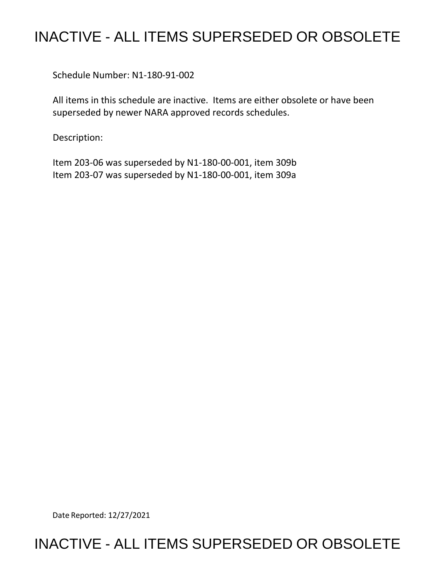## INACTIVE - ALL ITEMS SUPERSEDED OR OBSOLETE

Schedule Number: N1-180-91-002

 All items in this schedule are inactive. Items are either obsolete or have been superseded by newer NARA approved records schedules.

Description:

 Item 203-06 was superseded by N1-180-00-001, item 309b Item 203-07 was superseded by N1-180-00-001, item 309a

Date Reported: 12/27/2021

## INACTIVE - ALL ITEMS SUPERSEDED OR OBSOLETE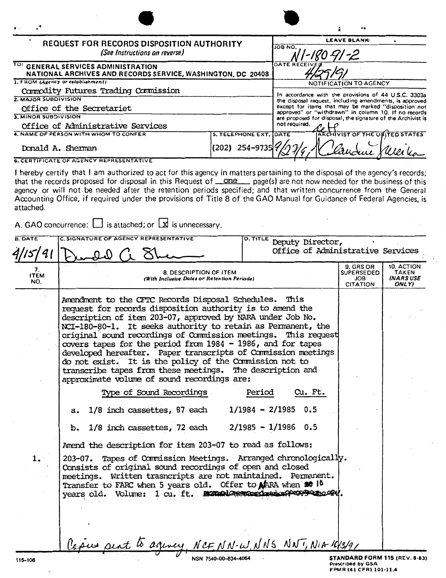|                                   | <b>REQUEST FOR RECORDS DISPOSITION AUTHORITY</b><br>(See Instructions on reverse)                                                                                                                                                                                                                                                                                                                                                                                                                                                                                                                                                                                                                                                                                                                                                                                                                                                                                                                                                                                                                                               | <b>LEAVE BLANK</b><br><b>JOB NO.</b><br>GJ -2                                                                   |                                                                                                                      |                                                                                     |                                           |  |
|-----------------------------------|---------------------------------------------------------------------------------------------------------------------------------------------------------------------------------------------------------------------------------------------------------------------------------------------------------------------------------------------------------------------------------------------------------------------------------------------------------------------------------------------------------------------------------------------------------------------------------------------------------------------------------------------------------------------------------------------------------------------------------------------------------------------------------------------------------------------------------------------------------------------------------------------------------------------------------------------------------------------------------------------------------------------------------------------------------------------------------------------------------------------------------|-----------------------------------------------------------------------------------------------------------------|----------------------------------------------------------------------------------------------------------------------|-------------------------------------------------------------------------------------|-------------------------------------------|--|
| TO:                               | <b>GENERAL SERVICES ADMINISTRATION</b><br>NATIONAL ARCHIVES AND RECORDS SERVICE, WASHINGTON, DC 20408                                                                                                                                                                                                                                                                                                                                                                                                                                                                                                                                                                                                                                                                                                                                                                                                                                                                                                                                                                                                                           | <b>DATE RE</b>                                                                                                  |                                                                                                                      |                                                                                     |                                           |  |
|                                   | 1. FROM (Agency or establishment)                                                                                                                                                                                                                                                                                                                                                                                                                                                                                                                                                                                                                                                                                                                                                                                                                                                                                                                                                                                                                                                                                               | NOTIFICATION TO AGENCY                                                                                          |                                                                                                                      |                                                                                     |                                           |  |
| 2. MAJOR SUBDIVISION              | Commodity Futures Trading Commission                                                                                                                                                                                                                                                                                                                                                                                                                                                                                                                                                                                                                                                                                                                                                                                                                                                                                                                                                                                                                                                                                            | In accordance with the provisions of 44 U.S.C. 3303a                                                            |                                                                                                                      |                                                                                     |                                           |  |
|                                   | Office of the Secretariet                                                                                                                                                                                                                                                                                                                                                                                                                                                                                                                                                                                                                                                                                                                                                                                                                                                                                                                                                                                                                                                                                                       | the disposal request, including amendments, is approved<br>except for items that may be marked "disposition not |                                                                                                                      |                                                                                     |                                           |  |
| 3. MINOR SUBDIVISION              |                                                                                                                                                                                                                                                                                                                                                                                                                                                                                                                                                                                                                                                                                                                                                                                                                                                                                                                                                                                                                                                                                                                                 |                                                                                                                 | approved" or "withdrawn" in column 10. If no records<br>are proposed for disposal, the signature of the Archivist is |                                                                                     |                                           |  |
| Office of Administrative Services |                                                                                                                                                                                                                                                                                                                                                                                                                                                                                                                                                                                                                                                                                                                                                                                                                                                                                                                                                                                                                                                                                                                                 |                                                                                                                 | not required.                                                                                                        |                                                                                     |                                           |  |
|                                   | 4. NAME OF PERSON WITH WHOM TO CONFER                                                                                                                                                                                                                                                                                                                                                                                                                                                                                                                                                                                                                                                                                                                                                                                                                                                                                                                                                                                                                                                                                           | <b>5. TELEPHONE EXT.</b>                                                                                        | DATE                                                                                                                 | ARCHIVIST OF THE UMITED STATES                                                      |                                           |  |
|                                   | Donald A. Sherman                                                                                                                                                                                                                                                                                                                                                                                                                                                                                                                                                                                                                                                                                                                                                                                                                                                                                                                                                                                                                                                                                                               | $(202)$ 254-9735                                                                                                |                                                                                                                      |                                                                                     |                                           |  |
|                                   | <b>6. CERTIFICATE OF AGENCY REPRESENTATIVE</b>                                                                                                                                                                                                                                                                                                                                                                                                                                                                                                                                                                                                                                                                                                                                                                                                                                                                                                                                                                                                                                                                                  |                                                                                                                 |                                                                                                                      |                                                                                     |                                           |  |
| attached.                         | that the records proposed for disposal in this Request of <u>one</u> page(s) are not now needed for the business of this<br>agency or will not be needed after the retention periods specified; and that written concurrence from the General<br>Accounting Office, if required under the provisions of Title 8 of the GAO Manual for Guidance of Federal Agencies, is<br>A. GAO concurrence: $\Box$ is attached; or $\Box$ is unnecessary.                                                                                                                                                                                                                                                                                                                                                                                                                                                                                                                                                                                                                                                                                     |                                                                                                                 |                                                                                                                      |                                                                                     |                                           |  |
| <b>B. DATE</b>                    | C. SIGNATURE OF AGENCY REPRESENTATIVE                                                                                                                                                                                                                                                                                                                                                                                                                                                                                                                                                                                                                                                                                                                                                                                                                                                                                                                                                                                                                                                                                           | <b>D. TITLE</b>                                                                                                 | Deputy Director,                                                                                                     |                                                                                     |                                           |  |
|                                   | Office of Administrative Services                                                                                                                                                                                                                                                                                                                                                                                                                                                                                                                                                                                                                                                                                                                                                                                                                                                                                                                                                                                                                                                                                               |                                                                                                                 |                                                                                                                      |                                                                                     |                                           |  |
| 7.<br><b>ITEM</b><br>NO.          | 8. DESCRIPTION OF ITEM<br>(With Inclusive Dates or Retention Periods)                                                                                                                                                                                                                                                                                                                                                                                                                                                                                                                                                                                                                                                                                                                                                                                                                                                                                                                                                                                                                                                           |                                                                                                                 |                                                                                                                      | 9. GRS OR<br><b>SUPERSEDED</b><br><b>JOB</b><br><b>CITATION</b>                     | 10. ACTION<br>TAKEN<br>(NARS USE<br>ONLY) |  |
| 1.                                | Amendment to the CFTC Records Disposal Schedules.<br>request for records disposition authority is to amend the<br>description of item 203-07, approved by NARA under Job No.<br>NCI-180-80-1. It seeks authority to retain as Permanent, the<br>original sound recordings of Commission meetings.<br>covers tapes for the period from 1984 - 1986, and for tapes<br>developed hereafter. Paper transcripts of Commission meetings<br>do not exist. It is the policy of the Commission not to<br>transcribe tapes from these meetings. The description and<br>approximate volume of sound recordings are:<br>Type of Sound Recordings<br>1/8 inch cassettes, 87 each<br>a.<br>1/8 inch cassettes, 72 each $2/1985 - 1/1986$ 0.5<br>b.<br>Amend the description for item 203-07 to read as follows:<br>203-07. Tapes of Commission Meetings. Arranged chronologically.<br>Consists of original sound recordings of open and closed<br>meetings. Written trasncripts are not maintained. Permanent.<br>Transfer to FARC when 5 years old. Offer to MARA when \$0 10<br>years old. Volume: 1 cu. ft. monunieren material executives | Period                                                                                                          | This<br>This request<br>Cu. Ft.<br>$1/1984 - 2/1985$ 0.5                                                             |                                                                                     |                                           |  |
|                                   | Capus pent to agency, NCFNN-W, NNS, NNT, NIA 10/3/9/                                                                                                                                                                                                                                                                                                                                                                                                                                                                                                                                                                                                                                                                                                                                                                                                                                                                                                                                                                                                                                                                            |                                                                                                                 |                                                                                                                      |                                                                                     |                                           |  |
| 115-108                           |                                                                                                                                                                                                                                                                                                                                                                                                                                                                                                                                                                                                                                                                                                                                                                                                                                                                                                                                                                                                                                                                                                                                 | ISN 7540-00-634-4064                                                                                            |                                                                                                                      | STANDARD FORM 115 (REV. 8-83)<br><b>Prescribed by GSA</b><br>FPMR (41 CFR) 101-11.4 |                                           |  |